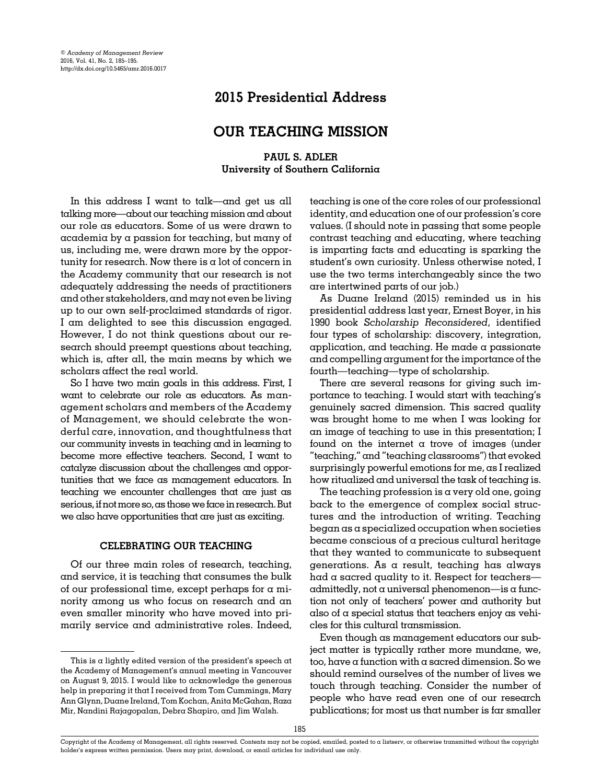# 2015 Presidential Address

# OUR TEACHING MISSION

# PAUL S. ADLER University of Southern California

In this address I want to talk—and get us all talking more—about our teaching mission and about our role as educators. Some of us were drawn to academia by a passion for teaching, but many of us, including me, were drawn more by the opportunity for research. Now there is a lot of concern in the Academy community that our research is not adequately addressing the needs of practitioners and other stakeholders, and may not even be living up to our own self-proclaimed standards of rigor. I am delighted to see this discussion engaged. However, I do not think questions about our research should preempt questions about teaching, which is, after all, the main means by which we scholars affect the real world.

So I have two main goals in this address. First, I want to celebrate our role as educators. As management scholars and members of the Academy of Management, we should celebrate the wonderful care, innovation, and thoughtfulness that our community invests in teaching and in learning to become more effective teachers. Second, I want to catalyze discussion about the challenges and opportunities that we face as management educators. In teaching we encounter challenges that are just as serious, if not more so, as those we face in research. But we also have opportunities that are just as exciting.

## CELEBRATING OUR TEACHING

Of our three main roles of research, teaching, and service, it is teaching that consumes the bulk of our professional time, except perhaps for a minority among us who focus on research and an even smaller minority who have moved into primarily service and administrative roles. Indeed,

teaching is one of the core roles of our professional identity, and education one of our profession's core values. (I should note in passing that some people contrast teaching and educating, where teaching is imparting facts and educating is sparking the student's own curiosity. Unless otherwise noted, I use the two terms interchangeably since the two are intertwined parts of our job.)

As Duane [Ireland \(2015\)](#page-10-0) reminded us in his presidential address last year, Ernest Boyer, in his 1990 book Scholarship Reconsidered, identified four types of scholarship: discovery, integration, application, and teaching. He made a passionate and compelling argument for the importance of the fourth—teaching—type of scholarship.

There are several reasons for giving such importance to teaching. I would start with teaching's genuinely sacred dimension. This sacred quality was brought home to me when I was looking for an image of teaching to use in this presentation; I found on the internet a trove of images (under "teaching," and "teaching classrooms") that evoked surprisingly powerful emotions for me, as I realized how ritualized and universal the task of teaching is.

The teaching profession is a very old one, going back to the emergence of complex social structures and the introduction of writing. Teaching began as a specialized occupation when societies became conscious of a precious cultural heritage that they wanted to communicate to subsequent generations. As a result, teaching has always had a sacred quality to it. Respect for teachers admittedly, not a universal phenomenon—is a function not only of teachers' power and authority but also of a special status that teachers enjoy as vehicles for this cultural transmission.

Even though as management educators our subject matter is typically rather more mundane, we, too, have a function with a sacred dimension. So we should remind ourselves of the number of lives we touch through teaching. Consider the number of people who have read even one of our research publications; for most us that number is far smaller

This is a lightly edited version of the president's speech at the Academy of Management's annual meeting in Vancouver on August 9, 2015. I would like to acknowledge the generous help in preparing it that I received from Tom Cummings, Mary Ann Glynn, Duane Ireland, Tom Kochan, Anita McGahan, Raza Mir, Nandini Rajagopalan, Debra Shapiro, and Jim Walsh.

Copyright of the Academy of Management, all rights reserved. Contents may not be copied, emailed, posted to a listserv, or otherwise transmitted without the copyright holder's express written permission. Users may print, download, or email articles for individual use only.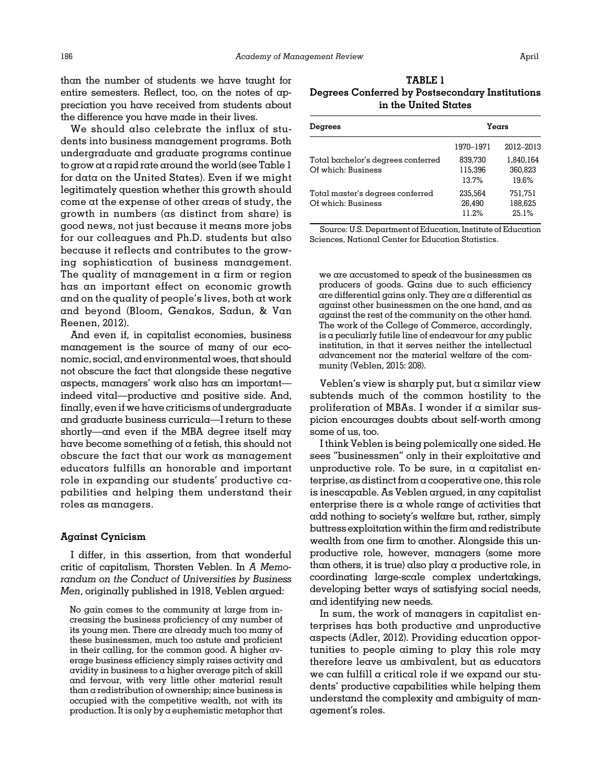than the number of students we have taught for entire semesters. Reflect, too, on the notes of appreciation you have received from students about the difference you have made in their lives.

We should also celebrate the influx of students into business management programs. Both undergraduate and graduate programs continue to grow at a rapid rate around the world (see Table 1 for data on the United States). Even if we might legitimately question whether this growth should come at the expense of other areas of study, the growth in numbers (as distinct from share) is good news, not just because it means more jobs for our colleagues and Ph.D. students but also because it reflects and contributes to the growing sophistication of business management. The quality of management in a firm or region has an important effect on economic growth and on the quality of people's lives, both at work and beyond ([Bloom, Genakos, Sadun,](#page-9-0) & [Van](#page-9-0) [Reenen, 2012](#page-9-0)).

And even if, in capitalist economies, business management is the source of many of our economic, social, and environmental woes, that should not obscure the fact that alongside these negative aspects, managers' work also has an important indeed vital—productive and positive side. And, finally, even if we have criticisms of undergraduate and graduate business curricula—I return to these shortly—and even if the MBA degree itself may have become something of a fetish, this should not obscure the fact that our work as management educators fulfills an honorable and important role in expanding our students' productive capabilities and helping them understand their roles as managers.

#### Against Cynicism

I differ, in this assertion, from that wonderful critic of capitalism, Thorsten Veblen. In A Memorandum on the Conduct of Universities by Business Men, originally published in 1918, Veblen argued:

No gain comes to the community at large from increasing the business proficiency of any number of its young men. There are already much too many of these businessmen, much too astute and proficient in their calling, for the common good. A higher average business efficiency simply raises activity and avidity in business to a higher average pitch of skill and fervour, with very little other material result than a redistribution of ownership; since business is occupied with the competitive wealth, not with its production. It is only by  $\alpha$  euphemistic metaphor that

TABLE 1 Degrees Conferred by Postsecondary Institutions in the United States

| Degrees                                                  | Years                       |                               |
|----------------------------------------------------------|-----------------------------|-------------------------------|
|                                                          | 1970-1971                   | 2012-2013                     |
| Total bachelor's degrees conferred<br>Of which: Business | 839,730<br>115,396<br>13.7% | 1,840,164<br>360,823<br>19.6% |
| Total master's degrees conferred<br>Of which: Business   | 235,564<br>26,490<br>11.2%  | 751.751<br>188,625<br>25.1%   |

Source: U.S. Department of Education, Institute of Education Sciences, National Center for Education Statistics.

we are accustomed to speak of the businessmen as producers of goods. Gains due to such efficiency are differential gains only. They are a differential as against other businessmen on the one hand, and as against the rest of the community on the other hand. The work of the College of Commerce, accordingly, is a peculiarly futile line of endeavour for any public institution, in that it serves neither the intellectual advancement nor the material welfare of the community [\(Veblen, 2015:](#page-10-0) 208).

Veblen's view is sharply put, but a similar view subtends much of the common hostility to the proliferation of MBAs. I wonder if a similar suspicion encourages doubts about self-worth among some of us, too.

I think Veblen is being polemically one sided. He sees "businessmen" only in their exploitative and unproductive role. To be sure, in  $\alpha$  capitalist enterprise, as distinct from a cooperative one, this role is inescapable. As Veblen argued, in any capitalist enterprise there is  $\alpha$  whole range of activities that add nothing to society's welfare but, rather, simply buttress exploitation within the firm and redistribute wealth from one firm to another. Alongside this unproductive role, however, managers (some more than others, it is true) also play a productive role, in coordinating large-scale complex undertakings, developing better ways of satisfying social needs, and identifying new needs.

In sum, the work of managers in capitalist enterprises has both productive and unproductive aspects [\(Adler, 2012](#page-9-0)). Providing education opportunities to people aiming to play this role may therefore leave us ambivalent, but as educators we can fulfill a critical role if we expand our students' productive capabilities while helping them understand the complexity and ambiguity of management's roles.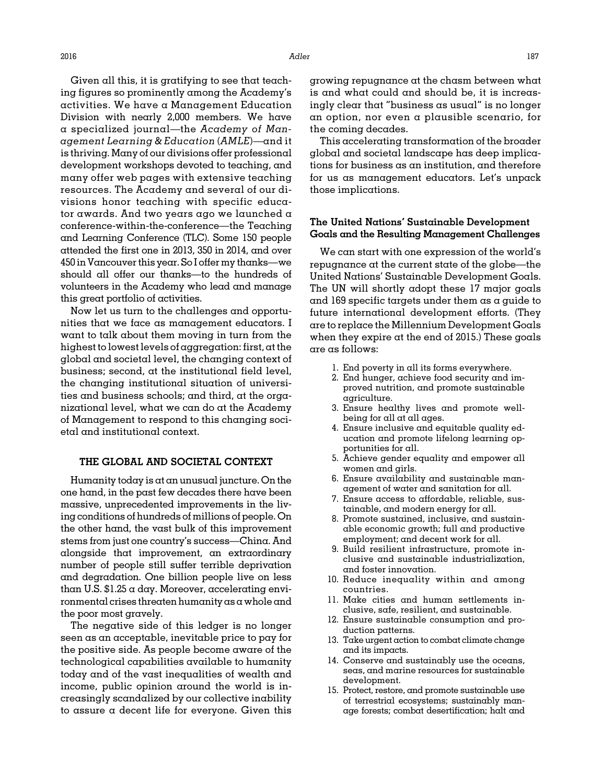Given all this, it is gratifying to see that teaching figures so prominently among the Academy's activities. We have a Management Education Division with nearly 2,000 members. We have a specialized journal—the Academy of Management Learning & Education (AMLE)—and it is thriving. Many of our divisions offer professional development workshops devoted to teaching, and many offer web pages with extensive teaching resources. The Academy and several of our divisions honor teaching with specific educator awards. And two years ago we launched a conference-within-the-conference—the Teaching and Learning Conference (TLC). Some 150 people attended the first one in 2013, 350 in 2014, and over 450 in Vancouver this year. So I offer my thanks—we should all offer our thanks—to the hundreds of volunteers in the Academy who lead and manage this great portfolio of activities.

Now let us turn to the challenges and opportunities that we face as management educators. I want to talk about them moving in turn from the highest to lowest levels of aggregation: first, at the global and societal level, the changing context of business; second, at the institutional field level, the changing institutional situation of universities and business schools; and third, at the organizational level, what we can do at the Academy of Management to respond to this changing societal and institutional context.

## THE GLOBAL AND SOCIETAL CONTEXT

Humanity today is at an unusual juncture. On the one hand, in the past few decades there have been massive, unprecedented improvements in the living conditions of hundreds of millions of people. On the other hand, the vast bulk of this improvement stems from just one country's success—China. And alongside that improvement, an extraordinary number of people still suffer terrible deprivation and degradation. One billion people live on less than U.S. \$1.25 a day. Moreover, accelerating environmental crises threaten humanity as awhole and the poor most gravely.

The negative side of this ledger is no longer seen as an acceptable, inevitable price to pay for the positive side. As people become aware of the technological capabilities available to humanity today and of the vast inequalities of wealth and income, public opinion around the world is increasingly scandalized by our collective inability to assure a decent life for everyone. Given this growing repugnance at the chasm between what is and what could and should be, it is increasingly clear that "business as usual" is no longer an option, nor even a plausible scenario, for the coming decades.

This accelerating transformation of the broader global and societal landscape has deep implications for business as an institution, and therefore for us as management educators. Let's unpack those implications.

## The United Nations' Sustainable Development Goals and the Resulting Management Challenges

We can start with one expression of the world's repugnance at the current state of the globe—the United Nations' Sustainable Development Goals. The UN will shortly adopt these 17 major goals and  $169$  specific targets under them as a guide to future international development efforts. (They are to replace the Millennium Development Goals when they expire at the end of 2015.) These goals are as follows:

- 1. End poverty in all its forms everywhere.
- 2. End hunger, achieve food security and improved nutrition, and promote sustainable agriculture.
- 3. Ensure healthy lives and promote wellbeing for all at all ages.
- 4. Ensure inclusive and equitable quality education and promote lifelong learning opportunities for all.
- 5. Achieve gender equality and empower all women and girls.
- 6. Ensure availability and sustainable management of water and sanitation for all.
- 7. Ensure access to affordable, reliable, sustainable, and modern energy for all.
- 8. Promote sustained, inclusive, and sustainable economic growth; full and productive employment; and decent work for all.
- 9. Build resilient infrastructure, promote inclusive and sustainable industrialization, and foster innovation.
- 10. Reduce inequality within and among countries.
- 11. Make cities and human settlements inclusive, safe, resilient, and sustainable.
- 12. Ensure sustainable consumption and production patterns.
- 13. Take urgent action to combat climate change and its impacts.
- 14. Conserve and sustainably use the oceans, seas, and marine resources for sustainable development.
- 15. Protect, restore, and promote sustainable use of terrestrial ecosystems; sustainably manage forests; combat desertification; halt and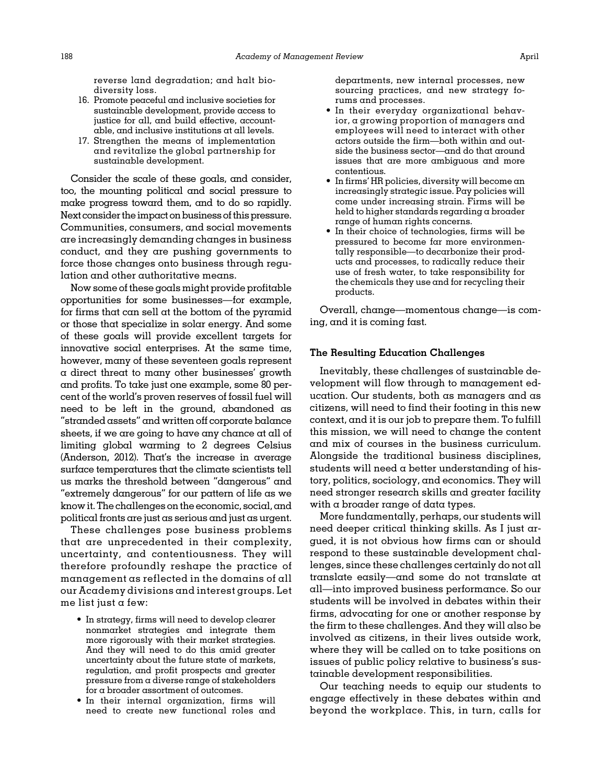reverse land degradation; and halt biodiversity loss.

- 16. Promote peaceful and inclusive societies for sustainable development, provide access to justice for all, and build effective, account- $\alpha$ ble, and inclusive institutions at all levels.
- 17. Strengthen the means of implementation and revitalize the global partnership for sustainable development.

Consider the scale of these goals, and consider, too, the mounting political and social pressure to make progress toward them, and to do so rapidly. Next consider the impact on business of this pressure. Communities, consumers, and social movements are increasingly demanding changes in business conduct, and they are pushing governments to force those changes onto business through regulation and other authoritative means.

Now some of these goals might provide profitable opportunities for some businesses—for example, for firms that can sell at the bottom of the pyramid or those that specialize in solar energy. And some of these goals will provide excellent targets for innovative social enterprises. At the same time, however, many of these seventeen goals represent a direct threat to many other businesses' growth and profits. To take just one example, some 80 percent of the world's proven reserves of fossil fuel will need to be left in the ground, abandoned as "stranded assets" and written off corporate balance sheets, if we are going to have any chance at all of limiting global warming to 2 degrees Celsius [\(Anderson, 2012](#page-9-0)). That's the increase in average surface temperatures that the climate scientists tell us marks the threshold between "dangerous" and "extremely dangerous" for our pattern of life as we know it. The challenges on the economic, social, and political fronts are just as serious and just as urgent.

These challenges pose business problems that are unprecedented in their complexity, uncertainty, and contentiousness. They will therefore profoundly reshape the practice of management as reflected in the domains of all our Academy divisions and interest groups. Let me list just  $\alpha$  few:

- In strategy, firms will need to develop clearer nonmarket strategies and integrate them more rigorously with their market strategies. And they will need to do this amid greater uncertainty about the future state of markets, regulation, and profit prospects and greater pressure from a diverse range of stakeholders for a broader assortment of outcomes.
- In their internal organization, firms will need to create new functional roles and

departments, new internal processes, new sourcing practices, and new strategy forums and processes.

- In their everyday organizational behavior, a growing proportion of managers and employees will need to interact with other actors outside the firm—both within and outside the business sector—and do that around issues that are more ambiguous and more contentious.
- In firms' HR policies, diversity will become an increasingly strategic issue. Pay policies will come under increasing strain. Firms will be held to higher standards regarding a broader range of human rights concerns.
- In their choice of technologies, firms will be pressured to become far more environmentally responsible—to decarbonize their products and processes, to radically reduce their use of fresh water, to take responsibility for the chemicals they use and for recycling their products.

Overall, change—momentous change—is coming, and it is coming fast.

#### The Resulting Education Challenges

Inevitably, these challenges of sustainable development will flow through to management education. Our students, both as managers and as citizens, will need to find their footing in this new context, and it is our job to prepare them. To fulfill this mission, we will need to change the content and mix of courses in the business curriculum. Alongside the traditional business disciplines, students will need  $\alpha$  better understanding of history, politics, sociology, and economics. They will need stronger research skills and greater facility with a broader range of data types.

More fundamentally, perhaps, our students will need deeper critical thinking skills. As I just argued, it is not obvious how firms can or should respond to these sustainable development challenges, since these challenges certainly do not all translate easily—and some do not translate at all—into improved business performance. So our students will be involved in debates within their firms, advocating for one or another response by the firm to these challenges. And they will also be involved as citizens, in their lives outside work, where they will be called on to take positions on issues of public policy relative to business's sustainable development responsibilities.

Our teaching needs to equip our students to engage effectively in these debates within and beyond the workplace. This, in turn, calls for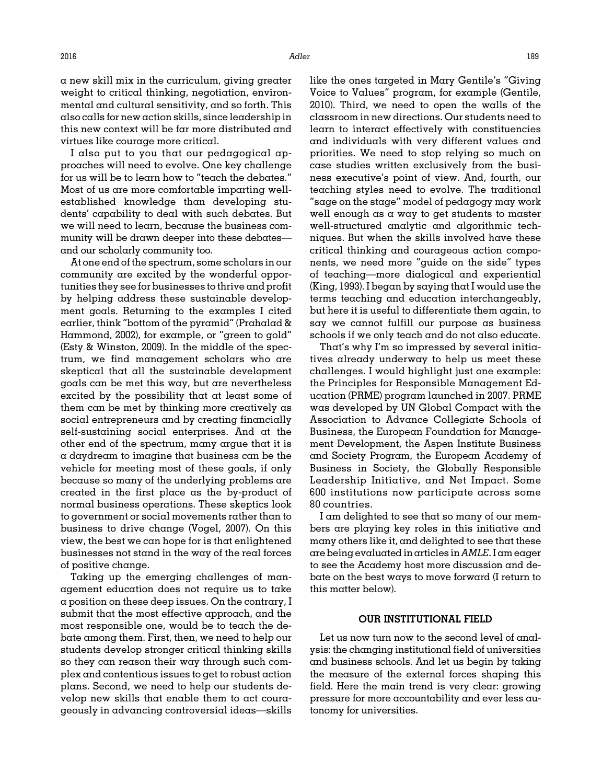a new skill mix in the curriculum, giving greater weight to critical thinking, negotiation, environmental and cultural sensitivity, and so forth. This also calls for new action skills, since leadership in this new context will be far more distributed and virtues like courage more critical.

I also put to you that our pedagogical approaches will need to evolve. One key challenge for us will be to learn how to "teach the debates." Most of us are more comfortable imparting wellestablished knowledge than developing students' capability to deal with such debates. But we will need to learn, because the business community will be drawn deeper into these debates and our scholarly community too.

At one end of the spectrum, some scholars in our community are excited by the wonderful opportunities they see for businesses to thrive and profit by helping address these sustainable development goals. Returning to the examples I cited earlier, think "bottom of the pyramid" ([Prahalad &](#page-10-0) [Hammond, 2002\)](#page-10-0), for example, or "green to gold" [\(Esty](#page-10-0) [& Winston, 2009\)](#page-10-0). In the middle of the spectrum, we find management scholars who are skeptical that all the sustainable development goals can be met this way, but are nevertheless excited by the possibility that at least some of them can be met by thinking more creatively as social entrepreneurs and by creating financially self-sustaining social enterprises. And at the other end of the spectrum, many argue that it is a daydream to imagine that business can be the vehicle for meeting most of these goals, if only because so many of the underlying problems are created in the first place as the by-product of normal business operations. These skeptics look to government or social movements rather than to business to drive change ([Vogel, 2007\)](#page-10-0). On this view, the best we can hope for is that enlightened businesses not stand in the way of the real forces of positive change.

Taking up the emerging challenges of management education does not require us to take a position on these deep issues. On the contrary, I submit that the most effective approach, and the most responsible one, would be to teach the debate among them. First, then, we need to help our students develop stronger critical thinking skills so they can reason their way through such complex and contentious issues to get to robust action plans. Second, we need to help our students develop new skills that enable them to act courageously in advancing controversial ideas—skills

like the ones targeted in Mary Gentile's "Giving Voice to Values" program, for example ([Gentile,](#page-10-0) [2010\)](#page-10-0). Third, we need to open the walls of the classroom in new directions. Our students need to learn to interact effectively with constituencies and individuals with very different values and priorities. We need to stop relying so much on case studies written exclusively from the business executive's point of view. And, fourth, our teaching styles need to evolve. The traditional "sage on the stage" model of pedagogy may work well enough as a way to get students to master well-structured analytic and algorithmic techniques. But when the skills involved have these critical thinking and courageous action components, we need more "guide on the side" types of teaching—more dialogical and experiential ([King, 1993\)](#page-10-0). I began by saying that I would use the terms teaching and education interchangeably, but here it is useful to differentiate them again, to say we cannot fulfill our purpose as business schools if we only teach and do not also educate.

That's why I'm so impressed by several initiatives already underway to help us meet these challenges. I would highlight just one example: the Principles for Responsible Management Education (PRME) program launched in 2007. PRME was developed by UN Global Compact with the Association to Advance Collegiate Schools of Business, the European Foundation for Management Development, the Aspen Institute Business and Society Program, the European Academy of Business in Society, the Globally Responsible Leadership Initiative, and Net Impact. Some 600 institutions now participate across some 80 countries.

I am delighted to see that so many of our members are playing key roles in this initiative and many others like it, and delighted to see that these are being evaluated in articles in AMLE. I am eager to see the Academy host more discussion and debate on the best ways to move forward (I return to this matter below).

#### OUR INSTITUTIONAL FIELD

Let us now turn now to the second level of analysis: the changing institutional field of universities and business schools. And let us begin by taking the measure of the external forces shaping this field. Here the main trend is very clear: growing pressure for more accountability and ever less autonomy for universities.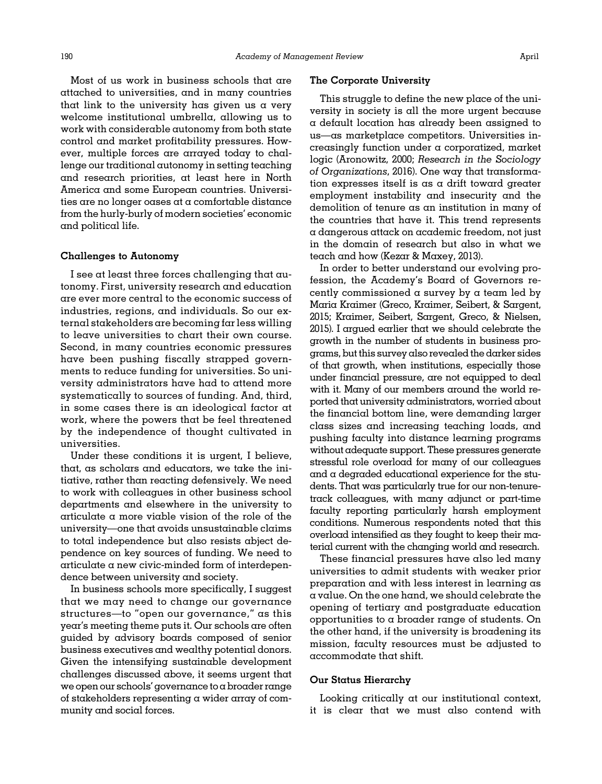Most of us work in business schools that are attached to universities, and in many countries that link to the university has given us a very welcome institutional umbrella, allowing us to work with considerable autonomy from both state control and market profitability pressures. However, multiple forces are arrayed today to challenge our traditional autonomy in setting teaching and research priorities, at least here in North America and some European countries. Universities are no longer oases at a comfortable distance from the hurly-burly of modern societies' economic and political life.

#### Challenges to Autonomy

I see at least three forces challenging that autonomy. First, university research and education are ever more central to the economic success of industries, regions, and individuals. So our external stakeholders are becoming far less willing to leave universities to chart their own course. Second, in many countries economic pressures have been pushing fiscally strapped governments to reduce funding for universities. So university administrators have had to attend more systematically to sources of funding. And, third, in some cases there is an ideological factor at work, where the powers that be feel threatened by the independence of thought cultivated in universities.

Under these conditions it is urgent, I believe, that, as scholars and educators, we take the initiative, rather than reacting defensively. We need to work with colleagues in other business school departments and elsewhere in the university to articulate a more viable vision of the role of the university—one that avoids unsustainable claims to total independence but also resists abject dependence on key sources of funding. We need to articulate a new civic-minded form of interdependence between university and society.

In business schools more specifically, I suggest that we may need to change our governance structures—to "open our governance," as this year's meeting theme puts it. Our schools are often guided by advisory boards composed of senior business executives and wealthy potential donors. Given the intensifying sustainable development challenges discussed above, it seems urgent that we open our schools' governance to a broader range of stakeholders representing a wider array of community and social forces.

## The Corporate University

This struggle to define the new place of the university in society is all the more urgent because a default location has already been assigned to us—as marketplace competitors. Universities increasingly function under a corporatized, market logic ([Aronowitz, 2000;](#page-9-0) [Research in the Sociology](#page-10-0) [of Organizations](#page-10-0), 2016). One way that transformation expresses itself is as a drift toward greater employment instability and insecurity and the demolition of tenure as an institution in many of the countries that have it. This trend represents a dangerous attack on academic freedom, not just in the domain of research but also in what we teach and how ([Kezar & Maxey, 2013\)](#page-10-0).

In order to better understand our evolving profession, the Academy's Board of Governors recently commissioned  $\alpha$  survey by  $\alpha$  team led by Maria Kraimer [\(Greco, Kraimer, Seibert, & Sargent,](#page-10-0) [2015; Kraimer, Seibert, Sargent, Greco, & Nielsen,](#page-10-0) [2015\)](#page-10-0). I argued earlier that we should celebrate the growth in the number of students in business programs, but this survey also revealed the darker sides of that growth, when institutions, especially those under financial pressure, are not equipped to deal with it. Many of our members around the world reported that university administrators, worried about the financial bottom line, were demanding larger class sizes and increasing teaching loads, and pushing faculty into distance learning programs without adequate support. These pressures generate stressful role overload for many of our colleagues and a degraded educational experience for the students. That was particularly true for our non-tenuretrack colleagues, with many adjunct or part-time faculty reporting particularly harsh employment conditions. Numerous respondents noted that this overload intensified as they fought to keep their material current with the changing world and research.

These financial pressures have also led many universities to admit students with weaker prior preparation and with less interest in learning as a value. On the one hand, we should celebrate the opening of tertiary and postgraduate education opportunities to a broader range of students. On the other hand, if the university is broadening its mission, faculty resources must be adjusted to accommodate that shift.

## Our Status Hierarchy

Looking critically at our institutional context, it is clear that we must also contend with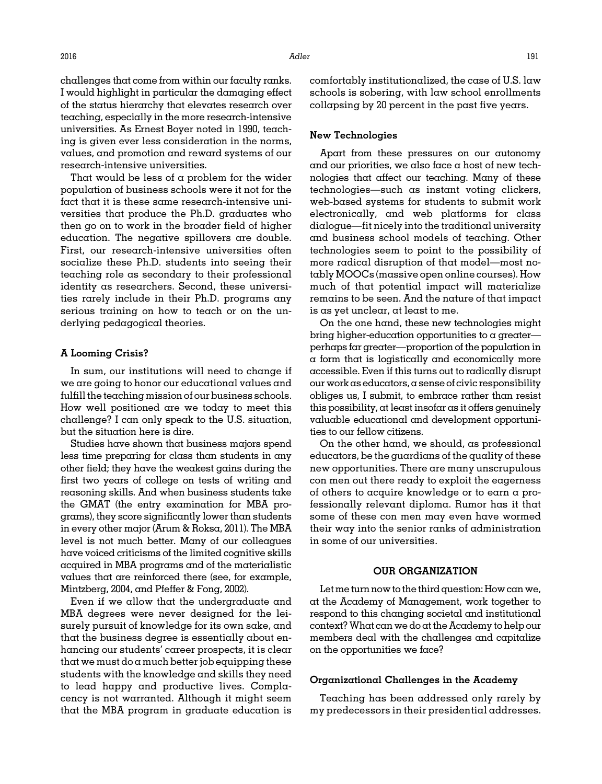challenges that come from within our faculty ranks. I would highlight in particular the damaging effect of the status hierarchy that elevates research over teaching, especially in the more research-intensive universities. As Ernest Boyer noted in 1990, teaching is given ever less consideration in the norms, values, and promotion and reward systems of our research-intensive universities.

That would be less of a problem for the wider population of business schools were it not for the fact that it is these same research-intensive universities that produce the Ph.D. graduates who then go on to work in the broader field of higher education. The negative spillovers are double. First, our research-intensive universities often socialize these Ph.D. students into seeing their teaching role as secondary to their professional identity as researchers. Second, these universities rarely include in their Ph.D. programs any serious training on how to teach or on the underlying pedagogical theories.

## A Looming Crisis?

In sum, our institutions will need to change if we are going to honor our educational values and fulfill the teaching mission of our business schools. How well positioned are we today to meet this challenge? I can only speak to the U.S. situation, but the situation here is dire.

Studies have shown that business majors spend less time preparing for class than students in any other field; they have the weakest gains during the first two years of college on tests of writing and reasoning skills. And when business students take the GMAT (the entry examination for MBA programs), they score significantly lower than students in every other major [\(Arum](#page-9-0) [& Roksa, 2011\)](#page-9-0). The MBA level is not much better. Many of our colleagues have voiced criticisms of the limited cognitive skills acquired in MBA programs and of the materialistic values that are reinforced there (see, for example, [Mintzberg, 2004,](#page-10-0) and [Pfeffer & Fong, 2002\)](#page-10-0).

Even if we allow that the undergraduate and MBA degrees were never designed for the leisurely pursuit of knowledge for its own sake, and that the business degree is essentially about enhancing our students' career prospects, it is clear that we must do  $\alpha$  much better job equipping these students with the knowledge and skills they need to lead happy and productive lives. Complacency is not warranted. Although it might seem that the MBA program in graduate education is

comfortably institutionalized, the case of U.S. law schools is sobering, with law school enrollments collapsing by 20 percent in the past five years.

## New Technologies

Apart from these pressures on our autonomy and our priorities, we also face a host of new technologies that affect our teaching. Many of these technologies—such as instant voting clickers, web-based systems for students to submit work electronically, and web platforms for class dialogue—fit nicely into the traditional university and business school models of teaching. Other technologies seem to point to the possibility of more radical disruption of that model—most notably MOOCs (massive open online courses). How much of that potential impact will materialize remains to be seen. And the nature of that impact is as yet unclear, at least to me.

On the one hand, these new technologies might bring higher-education opportunities to a greater perhaps far greater—proportion of the population in a form that is logistically and economically more accessible. Even if this turns out to radically disrupt our work as educators, a sense of civic responsibility obliges us, I submit, to embrace rather than resist this possibility, at least insofar as it offers genuinely valuable educational and development opportunities to our fellow citizens.

On the other hand, we should, as professional educators, be the guardians of the quality of these new opportunities. There are many unscrupulous con men out there ready to exploit the eagerness of others to acquire knowledge or to earn a professionally relevant diploma. Rumor has it that some of these con men may even have wormed their way into the senior ranks of administration in some of our universities.

## OUR ORGANIZATION

Letme turn now to the third question: How can we, at the Academy of Management, work together to respond to this changing societal and institutional context?What can we do at the Academy to help our members deal with the challenges and capitalize on the opportunities we face?

## Organizational Challenges in the Academy

Teaching has been addressed only rarely by my predecessors in their presidential addresses.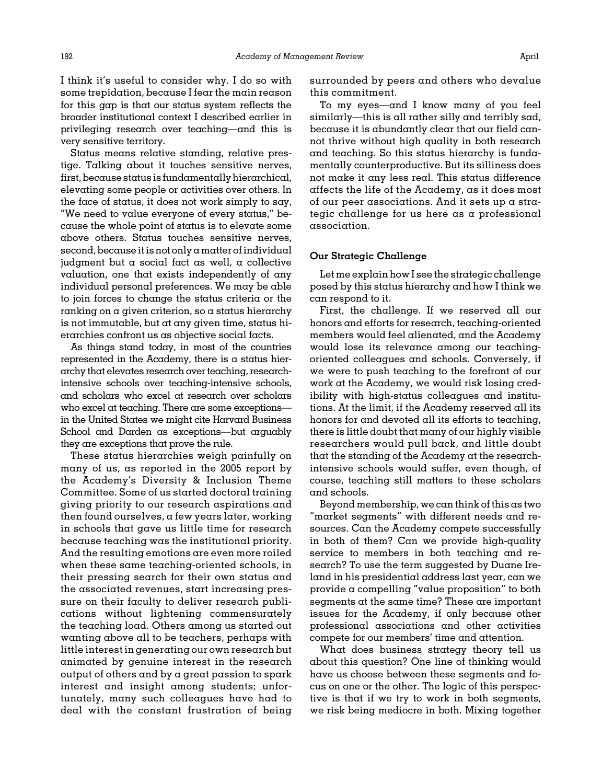I think it's useful to consider why. I do so with some trepidation, because I fear the main reason for this gap is that our status system reflects the broader institutional context I described earlier in privileging research over teaching—and this is very sensitive territory.

Status means relative standing, relative prestige. Talking about it touches sensitive nerves, first, because status is fundamentally hierarchical, elevating some people or activities over others. In the face of status, it does not work simply to say, "We need to value everyone of every status," because the whole point of status is to elevate some above others. Status touches sensitive nerves, second, because it is not only amatter of individual judgment but a social fact as well, a collective valuation, one that exists independently of any individual personal preferences. We may be able to join forces to change the status criteria or the ranking on a given criterion, so a status hierarchy is not immutable, but at any given time, status hierarchies confront us as objective social facts.

As things stand today, in most of the countries represented in the Academy, there is a status hierarchy that elevates research over teaching, researchintensive schools over teaching-intensive schools, and scholars who excel at research over scholars who excel at teaching. There are some exceptions in the United States we might cite Harvard Business School and Darden as exceptions—but arguably they are exceptions that prove the rule.

These status hierarchies weigh painfully on many of us, as reported in the 2005 report by the Academy's Diversity & Inclusion Theme Committee. Some of us started doctoral training giving priority to our research aspirations and then found ourselves,  $\alpha$  few years later, working in schools that gave us little time for research because teaching was the institutional priority. And the resulting emotions are even more roiled when these same teaching-oriented schools, in their pressing search for their own status and the associated revenues, start increasing pressure on their faculty to deliver research publications without lightening commensurately the teaching load. Others among us started out wanting above all to be teachers, perhaps with little interest in generating our own research but animated by genuine interest in the research output of others and by a great passion to spark interest and insight among students; unfortunately, many such colleagues have had to deal with the constant frustration of being surrounded by peers and others who devalue this commitment.

To my eyes—and I know many of you feel similarly—this is all rather silly and terribly sad, because it is abundantly clear that our field cannot thrive without high quality in both research and teaching. So this status hierarchy is fundamentally counterproductive. But its silliness does not make it any less real. This status difference affects the life of the Academy, as it does most of our peer associations. And it sets up a strategic challenge for us here as a professional association.

## Our Strategic Challenge

Let me explain how I see the strategic challenge posed by this status hierarchy and how I think we can respond to it.

First, the challenge. If we reserved all our honors and efforts for research, teaching-oriented members would feel alienated, and the Academy would lose its relevance among our teachingoriented colleagues and schools. Conversely, if we were to push teaching to the forefront of our work at the Academy, we would risk losing credibility with high-status colleagues and institutions. At the limit, if the Academy reserved all its honors for and devoted all its efforts to teaching, there is little doubt that many of our highly visible researchers would pull back, and little doubt that the standing of the Academy at the researchintensive schools would suffer, even though, of course, teaching still matters to these scholars and schools.

Beyond membership, we can think of this as two "market segments" with different needs and resources. Can the Academy compete successfully in both of them? Can we provide high-quality service to members in both teaching and research? To use the term suggested by Duane Ireland in his presidential address last year, can we provide a compelling "value proposition" to both segments at the same time? These are important issues for the Academy, if only because other professional associations and other activities compete for our members' time and attention.

What does business strategy theory tell us about this question? One line of thinking would have us choose between these segments and focus on one or the other. The logic of this perspective is that if we try to work in both segments, we risk being mediocre in both. Mixing together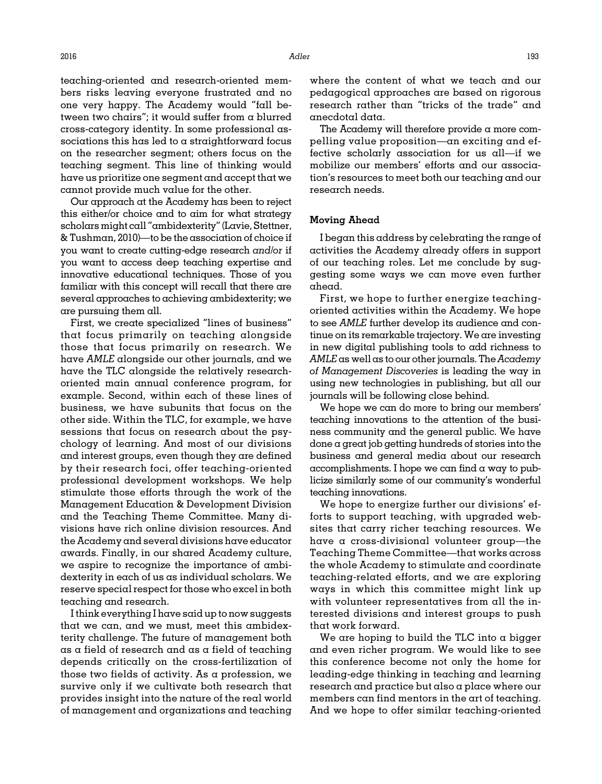teaching-oriented and research-oriented members risks leaving everyone frustrated and no one very happy. The Academy would "fall between two chairs"; it would suffer from a blurred cross-category identity. In some professional associations this has led to a straightforward focus on the researcher segment; others focus on the teaching segment. This line of thinking would have us prioritize one segment and accept that we cannot provide much value for the other.

Our approach at the Academy has been to reject this either/or choice and to aim for what strategy scholars might call "ambidexterity" ([Lavie, Stettner,](#page-10-0) & [Tushman, 2010\)](#page-10-0)—to be the association of choice if you want to create cutting-edge research and/or if you want to access deep teaching expertise and innovative educational techniques. Those of you familiar with this concept will recall that there are several approaches to achieving ambidexterity; we are pursuing them all.

First, we create specialized "lines of business" that focus primarily on teaching alongside those that focus primarily on research. We have AMLE alongside our other journals, and we have the TLC alongside the relatively researchoriented main annual conference program, for example. Second, within each of these lines of business, we have subunits that focus on the other side. Within the TLC, for example, we have sessions that focus on research about the psychology of learning. And most of our divisions and interest groups, even though they are defined by their research foci, offer teaching-oriented professional development workshops. We help stimulate those efforts through the work of the Management Education & Development Division and the Teaching Theme Committee. Many divisions have rich online division resources. And the Academy and several divisions have educator awards. Finally, in our shared Academy culture, we aspire to recognize the importance of ambidexterity in each of us as individual scholars. We reserve special respect for those who excel in both teaching and research.

I think everything I have said up to now suggests that we can, and we must, meet this ambidexterity challenge. The future of management both as a field of research and as a field of teaching depends critically on the cross-fertilization of those two fields of activity. As a profession, we survive only if we cultivate both research that provides insight into the nature of the real world of management and organizations and teaching

where the content of what we teach and our pedagogical approaches are based on rigorous research rather than "tricks of the trade" and anecdotal data.

The Academy will therefore provide  $\alpha$  more compelling value proposition—an exciting and effective scholarly association for us all—if we mobilize our members' efforts and our association's resources to meet both our teaching and our research needs.

#### Moving Ahead

I began this address by celebrating the range of activities the Academy already offers in support of our teaching roles. Let me conclude by suggesting some ways we can move even further ahead.

First, we hope to further energize teachingoriented activities within the Academy. We hope to see AMLE further develop its audience and continue on its remarkable trajectory. We are investing in new digital publishing tools to add richness to AMLE as well as to our other journals. The Academy of Management Discoveries is leading the way in using new technologies in publishing, but all our journals will be following close behind.

We hope we can do more to bring our members' teaching innovations to the attention of the business community and the general public. We have done a great job getting hundreds of stories into the business and general media about our research  $accomplishments.$  I hope we can find  $\alpha$  way to publicize similarly some of our community's wonderful teaching innovations.

We hope to energize further our divisions' efforts to support teaching, with upgraded websites that carry richer teaching resources. We have a cross-divisional volunteer group—the Teaching Theme Committee—that works across the whole Academy to stimulate and coordinate teaching-related efforts, and we are exploring ways in which this committee might link up with volunteer representatives from all the interested divisions and interest groups to push that work forward.

We are hoping to build the TLC into  $\alpha$  bigger and even richer program. We would like to see this conference become not only the home for leading-edge thinking in teaching and learning research and practice but also a place where our members can find mentors in the art of teaching. And we hope to offer similar teaching-oriented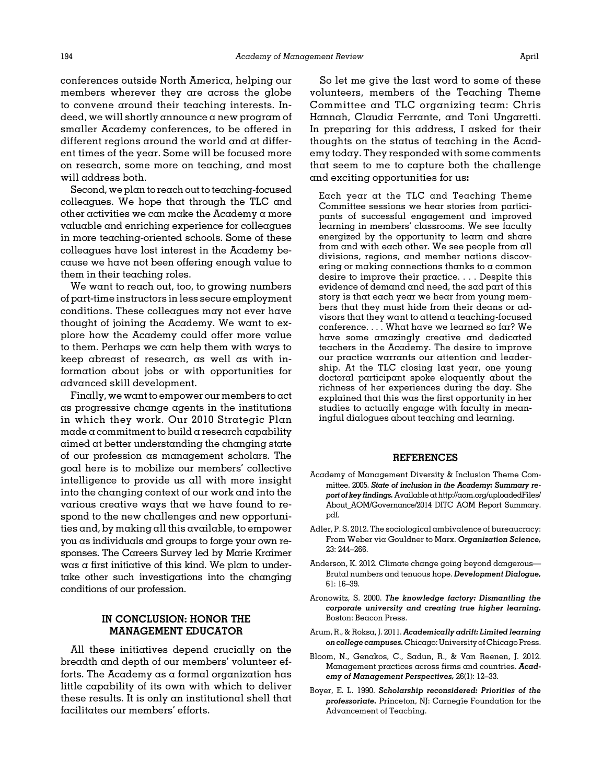<span id="page-9-0"></span>conferences outside North America, helping our members wherever they are across the globe to convene around their teaching interests. Indeed, we will shortly announce a new program of smaller Academy conferences, to be offered in different regions around the world and at different times of the year. Some will be focused more on research, some more on teaching, and most will address both.

Second, we plan to reach out to teaching-focused colleagues. We hope that through the TLC and other activities we can make the Academy a more valuable and enriching experience for colleagues in more teaching-oriented schools. Some of these colleagues have lost interest in the Academy because we have not been offering enough value to them in their teaching roles.

We want to reach out, too, to growing numbers of part-time instructors in less secure employment conditions. These colleagues may not ever have thought of joining the Academy. We want to explore how the Academy could offer more value to them. Perhaps we can help them with ways to keep abreast of research, as well as with information about jobs or with opportunities for advanced skill development.

Finally, we want to empower our members to act as progressive change agents in the institutions in which they work. Our 2010 Strategic Plan  $m$ ade a commitment to build a research capability aimed at better understanding the changing state of our profession as management scholars. The goal here is to mobilize our members' collective intelligence to provide us all with more insight into the changing context of our work and into the various creative ways that we have found to respond to the new challenges and new opportunities and, by making all this available, to empower you as individuals and groups to forge your own responses. The Careers Survey led by Marie Kraimer was a first initiative of this kind. We plan to undertake other such investigations into the changing conditions of our profession.

## IN CONCLUSION: HONOR THE MANAGEMENT EDUCATOR

All these initiatives depend crucially on the breadth and depth of our members' volunteer efforts. The Academy as a formal organization has little capability of its own with which to deliver these results. It is only an institutional shell that facilitates our members' efforts.

So let me give the last word to some of these volunteers, members of the Teaching Theme Committee and TLC organizing team: Chris Hannah, Claudia Ferrante, and Toni Ungaretti. In preparing for this address, I asked for their thoughts on the status of teaching in the Academy today. They responded with some comments that seem to me to capture both the challenge and exciting opportunities for us:

Each year at the TLC and Teaching Theme Committee sessions we hear stories from participants of successful engagement and improved learning in members' classrooms. We see faculty energized by the opportunity to learn and share from and with each other. We see people from all divisions, regions, and member nations discovering or making connections thanks to a common desire to improve their practice. . . . Despite this evidence of demand and need, the sad part of this story is that each year we hear from young members that they must hide from their deans or advisors that they want to attend a teaching-focused conference. . . . What have we learned so far? We have some amazingly creative and dedicated teachers in the Academy. The desire to improve our practice warrants our attention and leadership. At the TLC closing last year, one young doctoral participant spoke eloquently about the richness of her experiences during the day. She explained that this was the first opportunity in her studies to actually engage with faculty in meaningful dialogues about teaching and learning.

## **REFERENCES**

- Academy of Management Diversity & Inclusion Theme Committee. 2005. State of inclusion in the Academy: Summary report of key findings.Available at[http://aom.org/uploadedFiles/](http://aom.org/uploadedFiles/About_AOM/Governance/2014 DITC AOM Report Summary.pdf) About\_AOM/Governance/2014 [DITC AOM Report Summary.](http://aom.org/uploadedFiles/About_AOM/Governance/2014 DITC AOM Report Summary.pdf) [pdf](http://aom.org/uploadedFiles/About_AOM/Governance/2014 DITC AOM Report Summary.pdf).
- Adler, P. S. 2012. The sociological ambivalence of bureaucracy: From Weber via Gouldner to Marx. Organization Science, 23: 244–266.
- Anderson, K. 2012. Climate change going beyond dangerous— Brutal numbers and tenuous hope. Development Dialogue, 61: 16–39.
- Aronowitz, S. 2000. The knowledge factory: Dismantling the corporate university and creating true higher learning. Boston: Beacon Press.
- Arum, R., & Roksa, J. 2011. Academically adrift: Limited learning on college campuses.Chicago: University of Chicago Press.
- Bloom, N., Genakos, C., Sadun, R., & Van Reenen, J. 2012. Management practices across firms and countries. Academy of Management Perspectives, 26(1): 12–33.
- Boyer, E. L. 1990. Scholarship reconsidered: Priorities of the professoriate. Princeton, NJ: Carnegie Foundation for the Advancement of Teaching.